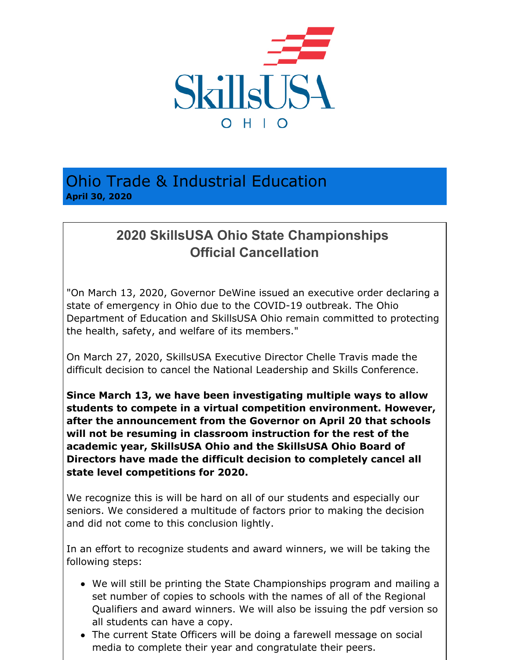

Ohio Trade & Industrial Education **April 30, 2020**

## **2020 SkillsUSA Ohio State Championships Official Cancellation**

"On March 13, 2020, Governor DeWine issued an executive order declaring a state of emergency in Ohio due to the COVID-19 outbreak. The Ohio Department of Education and SkillsUSA Ohio remain committed to protecting the health, safety, and welfare of its members."

On March 27, 2020, SkillsUSA Executive Director Chelle Travis made the difficult decision to cancel the National Leadership and Skills Conference.

**Since March 13, we have been investigating multiple ways to allow students to compete in a virtual competition environment. However, after the announcement from the Governor on April 20 that schools will not be resuming in classroom instruction for the rest of the academic year, SkillsUSA Ohio and the SkillsUSA Ohio Board of Directors have made the difficult decision to completely cancel all state level competitions for 2020.**

We recognize this is will be hard on all of our students and especially our seniors. We considered a multitude of factors prior to making the decision and did not come to this conclusion lightly.

In an effort to recognize students and award winners, we will be taking the following steps:

- We will still be printing the State Championships program and mailing a set number of copies to schools with the names of all of the Regional Qualifiers and award winners. We will also be issuing the pdf version so all students can have a copy.
- The current State Officers will be doing a farewell message on social media to complete their year and congratulate their peers.